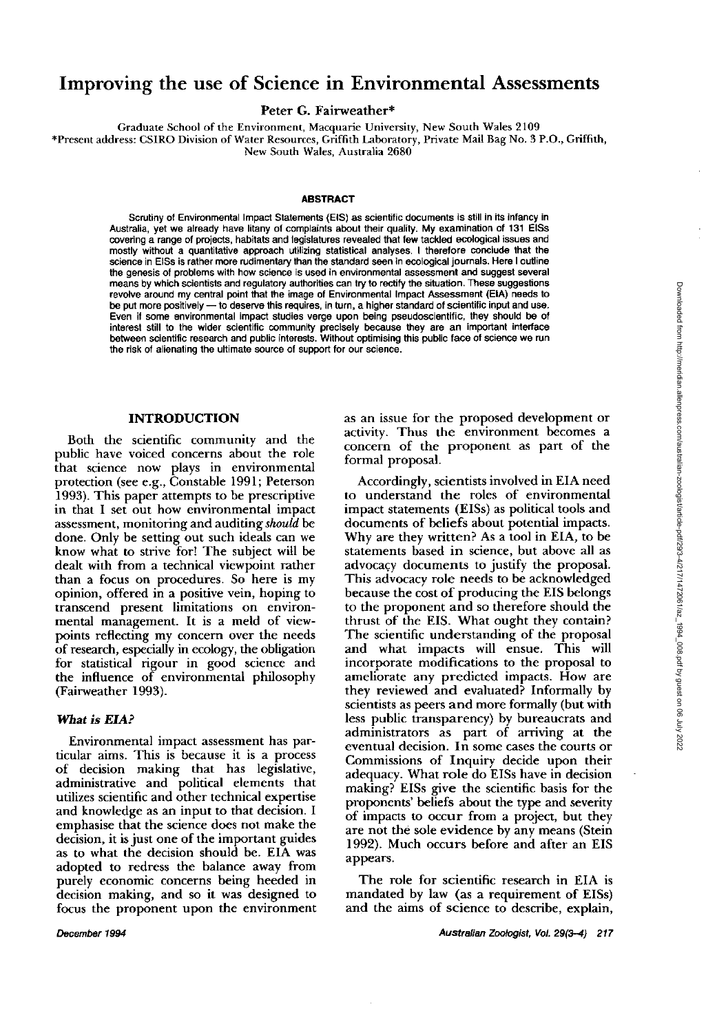# **Improving the use of Science in Environmental Assessments**

Peter G. Fairweather\*

Graduate School of the Environment, Macquarie University, New South Wales 2109

\*Present address: CSIRO Division of Water Resources, Griffith Laboratory, Private Mail Bag No. 3 P.O., Griffith, New **South** Wales, Australia 2680

#### **ABSTRACT**

Scrutiny of Environmental impact Statements (EIS) as scientific documents is still in its infancy in Australia, yet we already have litany of complaints about their quality. My examination of I31 ElSs covering a range of projects, habitats and legislatures revealed that few tackled ecological issues and mostly without a quantitative approach utilizing statistical analyses. I therefore conclude that the science in EISs is rather more rudimentary than the standard seen in ecological journals. Here I outline the genesis of problems with how science is used in environmental assessment and suggest several means by which scientists and regulatory authorities can try to rectify the situation. These suggestions revolve around my central point that the image of Environmental Impact Assessment (EIA) needs to be put more positively -- to deserve this requires, in turn, a higher standard of scientific input and use. Even if some environmental impact studies verge upon being pseudoscientific, they should be of interest still to the wider scientific community precisely because they are an important interface between scientific research and public interests. Without optimising this public face of science we run the risk of alienating the ultimate source of support for our science.

# **INTRODUCTION**

Both the scientific community and the public have voiced concerns about the role that science now plays in environmental protection (see e.g., Constable 1991; Peterson 1993). This paper attempts to be prescriptive in that I set out how environmental impact assessment, monitoring and auditing should be done. Only he setting out such ideals can we know what to strive for! The suhiect will be **<sup>2</sup>** dealt with from a technical viewpoint rather than a focus on procedures. So here is my opinion, offered in a positive vein, hoping to transcend present limitations on environmental management. It is a meld of viewpoints reflecting my concern over the needs of research, especially in ecology, the obligation for statistical rigour in good science and the influence of environmental philosophy (Fainveather 1993).

#### *Wlrat* **is** *EIA?*

Environmental impact assessment has particular aims. This is because it is a process of decision making that has legislative, administrative and political elements that utilizes scientific and other technical expertise and knowledge as an input to that decision. I emphasise that the science does not make the decision, it is just one of the important guides as to what the decision should be. EIA was adopted to redress the balance away from purely economic concerns being heeded in decision making, and so it was designed to focus the proponent upon the environment as an issue for the proposed development or activity. Thus the environment becomes a concern of the proponent as part of the formal proposal.

Accordingly, scientists involved in EIA need to understand the roles of environmental impact statements (EISs) as political tools and documents of beliefs about potential impacts. Why are they written? As a tool in EIA, to be statements based in science. but above all as advocacy documents to justify the proposal. This advocacy role needs to be acknowledged because the cost of producing the EIS belongs to the proponent and so therefore should the thrust of the EIS. What ought they contain? The scientific understanding of the proposal and what impacts will ensue. This will incorporate modifications to the proposal to ameliorate any predicted impacts. How are they reviewed and evaluated? Informally by scientists as peers and more formally (but with less public transparency) by bureaucrats and administrators as part of arriving at the eventual decision. In some cases the courts or Commissions of Inquiry decide upon their adequacy. What role do EISs have in decision making? EISs give the scientific basis for the proponents' beliefs about the type and severity of impacts to occur from a project, but they are not the sole evidence by any means (Stein 1992). Much occurs before and after an EIS appears.

The role for scientific research in EIA is mandated by law (as a requirement of EISs) and the aims of science to describe, explain,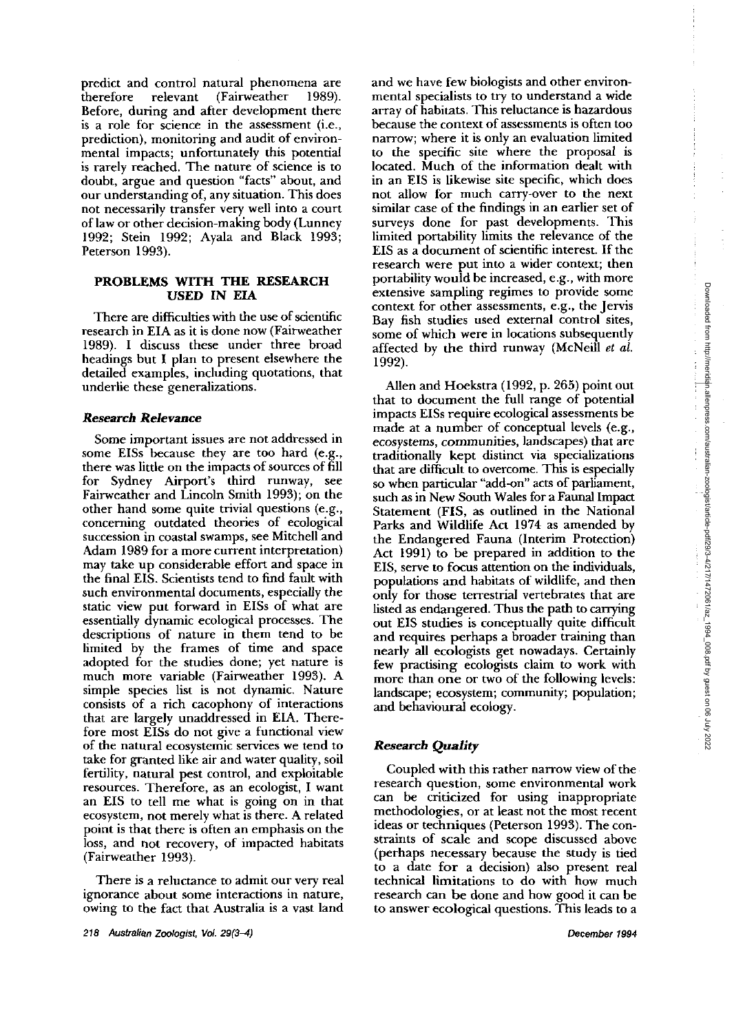predict and control natural phenomena are<br>therefore relevant (Fairweather 1989).  $(Fairweather \t1989).$ Before, during and after development there is a role for science in the assessment (i.e., prediction), monitoring and audit of environmental impacts; unfortunately this potential is rarely reached. The nature of science is to doubt, argue and question "facts" about, and our understanding of, any situation. This does not necessarily transfer very well into a court of law or other decision-making body (Lunney 1992; Stein 1992; Ayala and Black 1993; Peterson 1993).

# **PROBLEMS WITH THE RESEARCH USED IN EIA**

There are difficulties with the use of scientific research in EIA as it is done now (Fairweather 1989). I discuss these under three broad headings but I plan to present elsewhere the detailed examples, including quotations, that underlie these generalizations.

# *Research Relevance*

Some important issues are not addressed in some EISs because they are too hard (e.g., there was little on the impacts of sources of fill for Sydney Airport's third runway, see Fairweather and Lincoln Smith 1993); on the other hand some quite trivial questions (e.g., concerning outdated theories of ecological succession in coastal swamps, see Mitchell and Adam 1989 for a more current interpretation) may take up considerable effort and space in the final EIS. Scientists tend to find fault with such environmental documents, especially the static view put forward in EISs of what are essentially dynamic ecological processes. The descriptions of nature in them tend to be limited by the frames of time and space adopted for the studies done; yet nature is much more variable (Fairweather 1993). A simple species list is not dynamic. Nature consists of a rich cacophony of interactions that are largely unaddressed in EIA. Therefore most EISs do not give a functional view of the natural ecosystemic services we tend to take for granted like air and water quality, soil fertility, natural pest control, and exploitable resources. Therefore, as an ecologist, I want an EIS to tell me what is going on in that ecosystem, not merely what is there. A related point is that there is often an emphasis on the loss, and not recovery, of impacted habitats (Fairweather 1993).

There is a reluctance to admit our very real ignorance about some interactions in nature, owing to the fact that Australia is a vast land and we have few biologists and other environmental specialists to try to understand a wide array of habitats. This reluctance is hazardous because the context of assessments is often too narrow; where it is only an evaluation limited to the specific site where the proposal is located. Much of the information dealt with in an EIS is likewise site specific, which does not allow for much carry-over to the next similar case of the findings in an earlier set of surveys done for past developments. This limited portability limits the relevance of the EIS as a document of scientific interest. If the research were put into a wider context; then portability would be increased, e.g., with more extensive sampling regimes to provide some context for other assessments, e.g., the Jervis Bay fish studies used external control sites, some of which were in locations subsequently affected by the third runway (McNeill et al. 1992).

tensive sampling regimes to provide some specifies to the assessments, e.g., the Jervis (sy fish studies used external control sites, the previse of which were in locations subsequently and thoekstra (1992, p. 265) point that to document the full range of potential impacts EISs require ecological assessments be made at a number of conceptual levels (e.g., ecosystems, communities, landscapes) that are traditionally kept distinct via specializations that are difficult to overcome. This is especially so when particular "add-on" acts of parliament, such as in New South Wales for a Faunal Impact Statement (FIS, as outlined in the National Parks and Wildlife Act 1974 as amended by the Endangered Fauna (Interim Protection) Act 1991) to be prepared in addition to the EIS, serve to focus attention on the individuals, populations and habitats of wildlife, and then only for those terrestrial vertebrates that are listed as endangered. Thus the path to carrying out EIS studies is conceptually quite difficult and requires perhaps a broader trainmg than nearly all ecologists get nowadays. Certainly few practising ecologists claim to work with more than one or two of the following levels: landscape; ecosystem; community; population; and hehavioural ecology.

# *Research* **Quality**

Coupled with this rather narrow view of the research question, some environmental work can he criticized for using inappropriate methodologies, or at least not the most recent ideas or techniques (Peterson 1993). The constraints of scale and scope discussed above (perhaps necessary because the study is tied to a date for a decision) also present real technical limitations to do with how much research can be done and how good it can be to answer ecological questions. This leads to a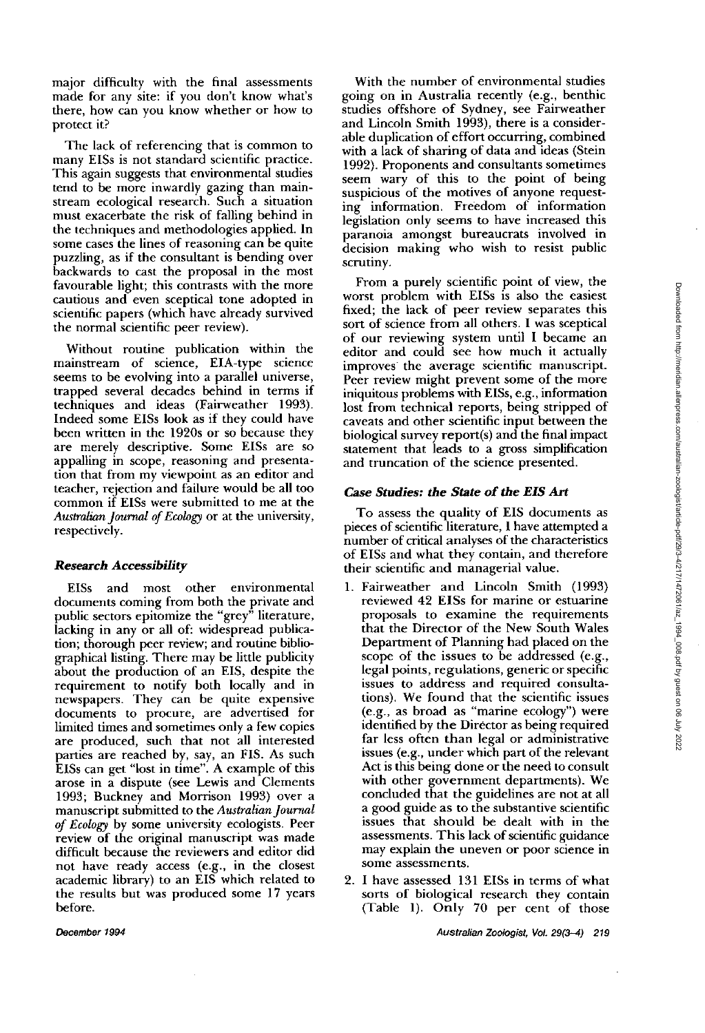major difficulty with the final assessments made for any site: if you don't know what's there, how can you know whether or how to protect it?

The lack of referencing that is common to many EISs is not standard scientific practice. This again suggests that environmental studies tend to be more inwardly gazing than mainstream ecological research. Such a situation must exacerbate the risk of falling behind in the techniques and methodologies applied. In some cases the lines of reasoning can be quite puzzling, as if the consultant is bending over backwards to cast the proposal in the most favourable light; this contrasts with the more cautious and even sceptical tone adopted in scientific papers (which have already survived the normal scientific peer review).

Without routine publication within the mainstream of science, EIA-type science seems to be evolving into a parallel universe, trapped several decades behind in terms if techniques and ideas (Fairweather 1993). Indeed some EISs look as if they could have been written in the 1920s or so because they are merely descriptive. Some EISs are so appalling in scope, reasoning and presentation that from my viewpoint as an editor and teacher, rejection and failure would be all too common if EISs were submitted to me at the Australian *Journal of Ecology* or at the university, respectively.

### **Research Accessibility**

EISs and most other environmental documents coming from both the private and public sectors epitomize the "grey" literature, lacking in any or all of: widespread publication; thorough peer review; and routine bibliographical listing. There may be little publicity about the production of an EIS, despite the requirement to notify both locally and in newspapers. They can be quite expensive documents to procure, are advertised for limited times and sometimes only a few copies are produced, such that not all interested parties are reached by, say, an FIS. As such EISs can get "lost in time". A example of this arose in a dispute (see Lewis and Clements 1993; Buckney and Morrison 1993) over a manuscript submitted to the *Australian Journal*  of *Ecology* by some university ecologists. Peer review of the original manuscript was made difficult because the reviewers and editor did not have ready access (e.g., in the closest academic library) to an EIS which related to the results but was produced some 17 years before.

With the number of environmental studies going on in Australia recently (e.g., benthic studies offshore of Sydney, see Fairweather and Lincoln Smith 1993), there is a considerable duplication of effort occurring, combined with a lack of sharing of data and ideas (Stein 1992). Proponents and consultants sometimes seem wary of this to the point of being suspicious of the motives of anyone requesting information. Freedom of information legislation only seems to have increased this paranoia amongst bureaucrats involved in decision making who wish to resist public scrutiny.

From a purely scientific point of view, the worst problem with EISs is also the easiest fixed; the lack of peer review separates this sort of science from all others. I was sceptical of our reviewing system until I became an editor and could see how much it actually improves the average scientific manuscript. Peer review might prevent some of the more iniquitous problems with EISs, e.g., information lost from technical reports, being stripped of caveats and other scientific input between the biological survey report(s) and the final impact statement that leads to a gross simplification and truncation of the science presented.

## **Case Studies: the State of the EZS** Arl

To assess the quality of EIS documents as pieces of scientific literature, I have attempted a number of critical analyses of the characteristics of EISs and what they contain, and therefore their scientific and managerial value.

- 1. Fairweather and Lincoln Smith (1993) reviewed 42 EISs for marine or estuarine proposals to examine the requirements that the Director of the New South Wales Department of Planning had placed on the scope of the issues to be addressed (e.g., legal points, regulations, generic or specific issues to address and required consultations). We found that the scientific issues (e.g., as broad as "marine ecology") were identified by the Director as being required far less often than legal or administrative issues (e.g., under which part of the relevant Act is this being done or the need to consult with other government departments). We concluded that the guidelines are not at all a good guide as to the substantive scientific issues that should be dealt with in the assessments. This lack of scientific guidance may explain the uneven or poor science in some assessments.
- 2. I have assessed 131 EISs in terms of what sorts of biological research they contain (Table 1). Only 70 per cent of those

**December 1994 Australian Zoologist, Vol. 29(3-4) 219**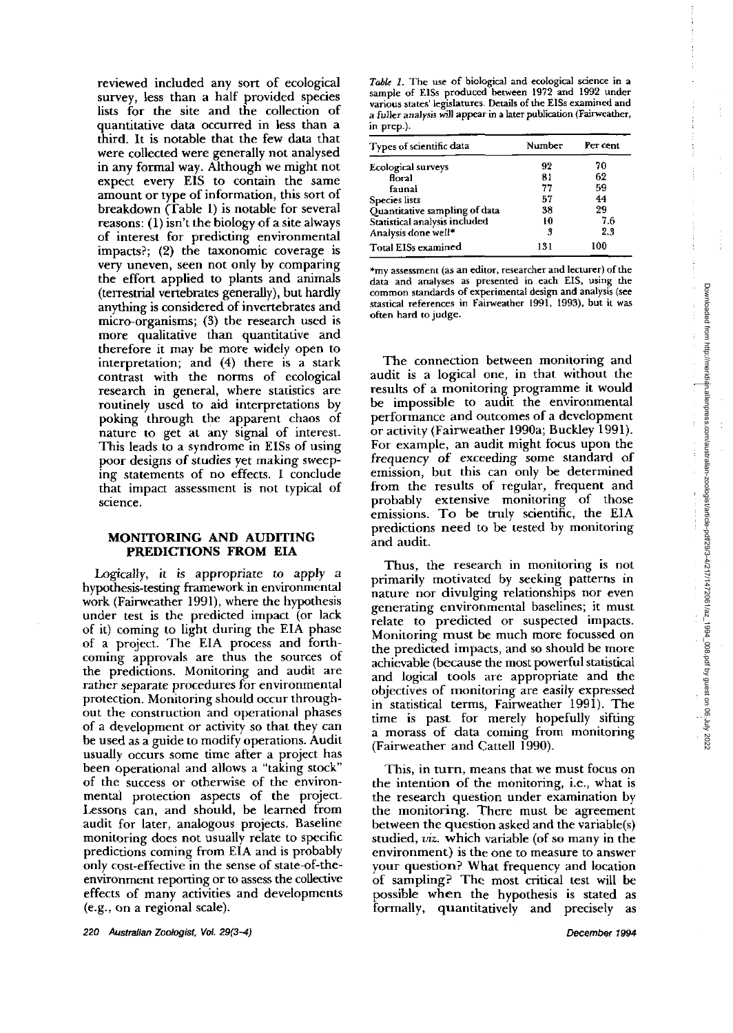reviewed included any sort of ecological survey, less than a half provided species lists for the site and the collection of quantitative data occurred in less than a third. It is notable that the few data that were collected were generally not analysed in any formal way. Although we might not expect every EIS to contain the same amount or type of information, this sort of breakdown (Table 1) is notable for several reasons: (1) isn't the biology of a site always of interest for predicting environmental impacts?; (2) the taxonomic coverage is very uneven, seen not only by comparing the effort applied to plants and animals (terrestrial vertebrates generally), hut hardly anything is considered of invertebrates and micro-organisms; (3) the research used is more qualitative than quantitative and therefore it may be more widely open to interpretation; and (4) there is a stark contrast with the norms of ecological research in general, where statistics are routinely used to aid interpretations by poking through the apparent chaos of nature to get at any signal of interest. This leads to a syndrome in ElSs of using poor designs of studies yet making sweeping statements of no effects. I conclude that impact assessment is not typical of science.

## **MONITORING AND AUDITING PREDICTIONS FROM EIA**

Logically, it is appropriate to apply a hypothesis-testing framework in environmental work (Fairweather 1991), where the hypothesis under test is the predicted impact (or lack of it) coming to light during the EIA phase of a project. The EIA process and forthcoming approvals are thus the sources of the predictions. Monitoring and audit are rather separate procedures for environmental protection. Monitoring should occur throughout the construction and operational phases of a development or activity so that they can be used as a guide to modify operations. Audit usually occurs some time after a project has been operational and allows a "taking stock" of the success or otherwise of the environmental protection aspects of the project. Lessons can, and should, be learned from audit for later, analogous projects. Baseline monitoring does not usually relate to specific predictions coming from EIA and is probably only cost-effective in the sense of state-of-theenvironment reporting or to assess the collective effects of many activities and developments (e.g., on a regional scale).

Table 1. The use of biological and ecological science in a **sample of ElSs produced between 1972 and 1992 under various states' legislatures. Details of he ElSs examined and**  a fuller analysis will appear in a later publication (Fairweather, **in prep.).** 

| Types of scientific data      | Number | Per cent |
|-------------------------------|--------|----------|
| <b>Ecological surveys</b>     | 92     | 70       |
| floral                        | 81     | 62       |
| faunal                        | 77     | 59       |
| <b>Species</b> lists          | 57     | 44       |
| Quantitative sampling of data | 38     | 29       |
| Statistical analysis included | 10     | 76       |
| Analysis done well*           | 3      | 2.3      |
| Total EISs examined           | 131    | 100      |

**\*my assessment (as an editor, researcher and lecturer) of the data and analyses as presented in each EIS, using the common standards of experimental design and analysis (see**  stastical references in Fairweather 1991, 1993), but it was **often hard to judge.** 

The connection between monitoring and audit is a logical one, in that without the results of a monitoring programme it would be impossible to audit the environmental performance and outcomes of a development or activity (Fairweather 1990a; Buckley 1991). For example, an audit might focus upon the frequency of exceeding some standard of emission, but this can only be determined from the results of regular, frequent and probably extensive monitoring of those emissions. To be truly scientific, the EIA predictions need to be tested by monitoring and audit.

Thus, the research in monitoring is not primarily motivated by seeking patterns in nature nor divulging relationships nor even generating environmental baselines; it must relate to predicted or suspected impacts. Monitoring must be much more focussed on the predicted impacts, and so should be more achievable (because the most powerful statistical and logical tools are appropriate and the objectives of monitoring are easily expressed in statistical terms, Fairweather 1991). The time is past for merely hopefully sifting a morass of data coming from monitoring (Fairweather and Cattell 1990).

This, in turn, means that we must focus on the intention of the monitoring, i.e., what is the research question under examination by the monitoring. There must be agreement between the question asked and the variable(s) studied, viz. which variable (of so many in the environment) is the one to measure to answer your question? What frequency and location of sampling? The most critical test will be possible when the hypothesis is stated as formally, quantitatively and precisely as

**220 Australian Zoologist.** *Vol.* **29(34)** 

December 1994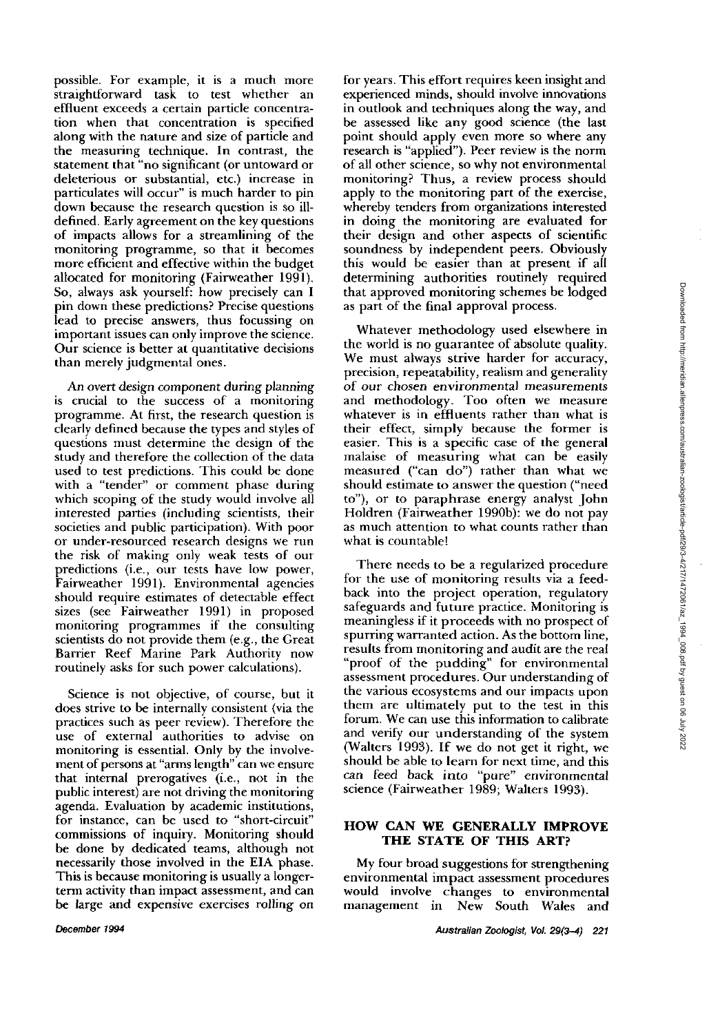possible. For example, it is a much more straightforward task to test whether an effluent exceeds a certain panicle concentration when that concentration is specified along with the nature and size of particle and the measuring technique. In contrast, the statement that "no significant (or untoward or deleterious or substantial, etc.) increase in particulates will occur" is much harder to pin down because the research question is so illdefined. Early agreement on the key questions of impacts allows for a streamlining of the monitoring programme, so that it becomes more efficient and effective within the budget allocated for monitoring (Fainveather 1991). So, always ask yourself: how precisely can I pin down these predictions? Precise questions lead to precise answers, thus focussing on important issues can only improve the science. Our science is better at quantitative decisions than merely judgmental ones.

An overt design component during planning is crucial to the success of a monitoring programme. At first, the research question is clearly defined because the types and styles of questions must determine the design of the study and therefore the collection of the data used to test predictions. This could be done with a "tender" or comment phase during which scoping of the study would involve all interested parties (including scientists, their societies and public participation). With poor or under-resourced research designs we run the risk of making only weak tests of our predictions (i.e., our tests have low power, Fainveather 1991). Environmental agencies should require estimates of detectable effect sizes (see Fainveather 1991) in proposed monitoring programmes if the consulting scientists do not provide them (e.g., the Great Barrier Reef Marine Park Authority now routinely asks for such power calculations).

Science is not objective, of course, but it does strive to **be** internally consistent (via the practices such as peer review). Therefore the use of external authorities to advise on monitoring is essential. Only by the involvement of persons at "arms length" can we ensure that internal prerogatives (i.e., not in the public interest) are not driving the monitoring agenda. Evaluation by academic institutions, for instance, can be used to "short-circuit" commissions of inquiry. Monitoring should be done by dedicated teams, although not necessarily those involved in the EIA phase. This is because monitoring is usually a longerterm activity than impact assessment, and can be large and expensive exercises rolling on

for years. This effort requires keen insight and experienced minds, should involve innovations in outlook and techniques along the way, and be assessed like any good science (the last point should apply even more so where any research is "applied"). Peer review is the norm of all other science, so why not environmental monitoring? Thus, a review process should apply to the monitoring part of the exercise, whereby tenders from organizations interested in doing the monitoring are evaluated for their design and other aspects of scientific soundness by independent peers. Obviously this would be easier than at present if all determining authorities routinely required that approved monitoring schemes be lodged as part of the final approval process.

Whatever methodology used elsewhere in the world is no guarantee of absolute quality. We must always strive harder for accuracy, precision, repeatability, realism and generality of our chosen environmental measurements and methodology. Too often we measure whatever is in effluents rather than what is their effect, simply because the former is easier. This is a specific case of the general malaise of measuring what can be easily measured ("can do") rather than what we should estimate to answer the question ("need to"), or to paraphrase energy analyst John Holdren (Fairweather 1990b): we do not pay as much attention to what counts rather than what is countable!

There needs to be a regularized procedure for the use of monitoring results via a feedback into the project operation, regulatory safeguards and future practice. Monitoring is meaningless if it proceeds with no prospect of spurring warranted action. As the bottom line, results from monitoring and audit are the real "proof of the pudding" for environmental assessment procedures. Our understanding of the various ecosystems and our impacts upon them are ultimately put to the test in this forum. We can use this information to calibrate and verify our understanding of the system (Walters 1993). If we do not get it right, we should be able to learn for next time, and this can feed hack into "pure" environmental science (Fairweather 1989; Walters 1993).

# **HOW CAN WE GENERALLY IMPROVE THE STATE OF THIS ART?**

My four broad suggestions for strengthening environmental impact assessment procedures would involve changes to environmental management in New South Wales and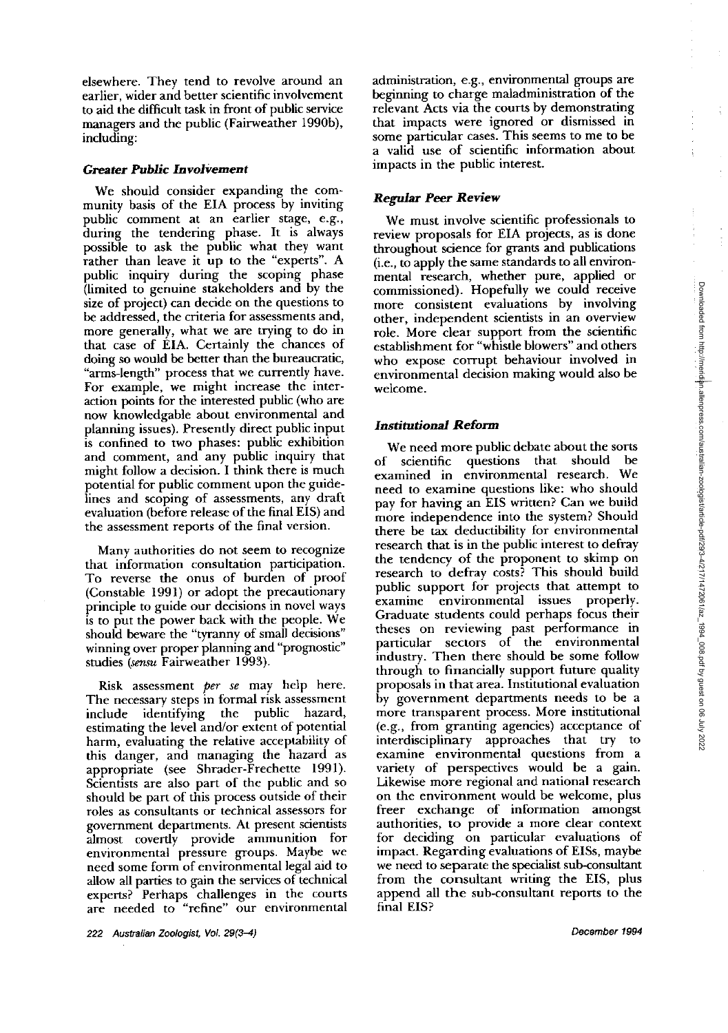elsewhere. They tend to revolve around an earlier, wider and better scientific involvement to aid the difficult task in front of public service managers and the public (Fairweather 199Ob), including:

## **Greater Public Involvement**

We should consider expanding the community basis of the EIA process by inviting public comment at an earlier stage, e.g., during the tendering phase. It is always possible to ask the public what they want rather than leave it up to the "experts". A public inquiry during the scoping phase (limited to genuine stakeholders and by the size of project) can decide on the questions to be addressed, the criteria for assessments and, more generally, what we are trying to do in that case of EIA. Certainly the chances of doing so would be better than the bureaucratic, "arms-length" process that we currently have. For example, we might increase the interaction points for the interested public (who are now knowledgable about environmental and planning issues). Presently direct public input is confined to two phases: public exhibition and comment, and any public inquiry that might follow a decision. I think there is much potential for public comment upon the guidelines and scoping of assessments, any draft evaluation (before release of the final EIS) and the assessment reports of the final version.

Many authorities do not seem to recognize that information consultation participation. To reverse the onus of burden of proof (Constable 1991) or adopt the precautionary principle to guide our decisions in novel ways is to put the power back with the people. We should beware the "tyranny of small decisions" winning over proper planning and "prognostic" studies (sensu Fairweather 1993).

Risk assessment per se may help here. The necessary steps in formal risk assessment include identifying the public hazard, estimating the level and/or extent of potential harm, evaluating the relative acceptability of this danger, and managing the hazard as appropriate (see Shrader-Frechette 1991). Scientists are also part of the public and so should be part of this process outside of their roles as consultants or technical assessors for government departments. At present scientists almost covertly provide ammunition for environmental pressure groups. Maybe we need some form of environmental legal aid to allow all parties to gain the services of technical experts? Perhaps challenges in the courts are needed to "refine" our environmental

administration, e.g., environmental groups are beginning to charge maladministration of the relevant Acts via the courts by demonstrating that impacts were ignored or dismissed in some particular cases. This seems to me to be a valid use of scientific information about impacts in the public interest.

### *Regular Peer* **Review**

We must involve scientific professionals to review proposals for EIA projects, as is done throughout science for grants and publications (i.e., to apply the same standards to all environmental research, whether pure, applied or commissioned). Hopefully we could receive more consistent evaluations by involving other, independent scientists in an overview role. More clear support from the scientific establishment for "whistle blowers" and others who expose corrupt behaviour involved in Figure 1. More clear support from the selection.<br>
establishment for "whistle blowers" and others<br>
who expose corrupt behaviour involved in<br>
environmental decision making would also be<br>
welcome. welcome.

#### **Institutional Reform**

We need more public debate about the sorts of scientific questions that should be examined in environmental research. We need to examine questions like: who should pay for having an EIS written? Can we build more independence into the system? Should there be **tax** deductibility for environmental research that is in the public interest to defray the tendency of the proponent to skimp on research to defray costs? This should build public support for projects that attempt to examine environmental issues properly. Graduate students could perhaps focus their theses on reviewing past performance in particular sectors of the environmental industry. Then there should be some follow through to financially support future quality proposals in that area. Institutional evaluation by government departments needs to he a more transparent process. More institutional (e.g., from granting agencies) acceptance of interdisciplinary approaches that try to examine environmental questions from a variety of perspectives would be a gain. Likewise more regional and national research on the environment would be welcome, plus freer exchange of information amongst authorities, to provide a more clear context for deciding on particular evaluations of impact. Regarding evaluations of EISs, maybe we need to separate the specialist sub-consultant from the consultant writing the EIS, plus append all the sub-consultant reports to the final EIS?